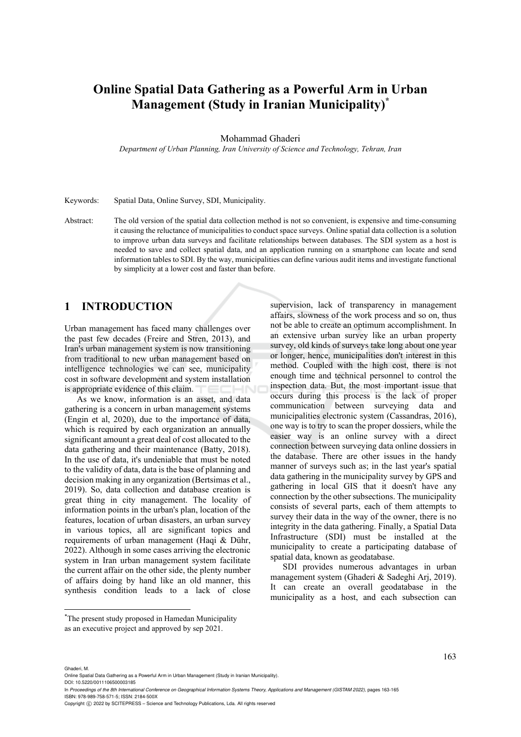# **Online Spatial Data Gathering as a Powerful Arm in Urban Management (Study in Iranian Municipality)\***

#### Mohammad Ghaderi

*Department of Urban Planning, Iran University of Science and Technology, Tehran, Iran* 

Keywords: Spatial Data, Online Survey, SDI, Municipality.

Abstract: The old version of the spatial data collection method is not so convenient, is expensive and time-consuming it causing the reluctance of municipalities to conduct space surveys. Online spatial data collection is a solution to improve urban data surveys and facilitate relationships between databases. The SDI system as a host is needed to save and collect spatial data, and an application running on a smartphone can locate and send information tables to SDI. By the way, municipalities can define various audit items and investigate functional by simplicity at a lower cost and faster than before.

## **1 INTRODUCTION**

Urban management has faced many challenges over the past few decades (Freire and Stren, 2013), and Iran's urban management system is now transitioning from traditional to new urban management based on intelligence technologies we can see, municipality cost in software development and system installation is appropriate evidence of this claim.

As we know, information is an asset, and data gathering is a concern in urban management systems (Engin et al, 2020), due to the importance of data, which is required by each organization an annually significant amount a great deal of cost allocated to the data gathering and their maintenance (Batty, 2018). In the use of data, it's undeniable that must be noted to the validity of data, data is the base of planning and decision making in any organization (Bertsimas et al., 2019). So, data collection and database creation is great thing in city management. The locality of information points in the urban's plan, location of the features, location of urban disasters, an urban survey in various topics, all are significant topics and requirements of urban management (Haqi & Dühr, 2022). Although in some cases arriving the electronic system in Iran urban management system facilitate the current affair on the other side, the plenty number of affairs doing by hand like an old manner, this synthesis condition leads to a lack of close

supervision, lack of transparency in management affairs, slowness of the work process and so on, thus not be able to create an optimum accomplishment. In an extensive urban survey like an urban property survey, old kinds of surveys take long about one year or longer, hence, municipalities don't interest in this method. Coupled with the high cost, there is not enough time and technical personnel to control the inspection data. But, the most important issue that occurs during this process is the lack of proper communication between surveying data and municipalities electronic system (Cassandras, 2016), one way is to try to scan the proper dossiers, while the easier way is an online survey with a direct connection between surveying data online dossiers in the database. There are other issues in the handy manner of surveys such as; in the last year's spatial data gathering in the municipality survey by GPS and gathering in local GIS that it doesn't have any connection by the other subsections. The municipality consists of several parts, each of them attempts to survey their data in the way of the owner, there is no integrity in the data gathering. Finally, a Spatial Data Infrastructure (SDI) must be installed at the municipality to create a participating database of spatial data, known as geodatabase.

SDI provides numerous advantages in urban management system (Ghaderi & Sadeghi Arj, 2019). It can create an overall geodatabase in the municipality as a host, and each subsection can

DOI: 10.5220/0011106500003185

Ghaderi, M.

In *Proceedings of the 8th International Conference on Geographical Information Systems Theory, Applications and Management (GISTAM 2022)*, pages 163-165 ISBN: 978-989-758-571-5; ISSN: 2184-500X

<sup>\*</sup> The present study proposed in Hamedan Municipality as an executive project and approved by sep 2021.

Online Spatial Data Gathering as a Powerful Arm in Urban Management (Study in Iranian Municipality).

Copyright (C) 2022 by SCITEPRESS - Science and Technology Publications, Lda. All rights reserved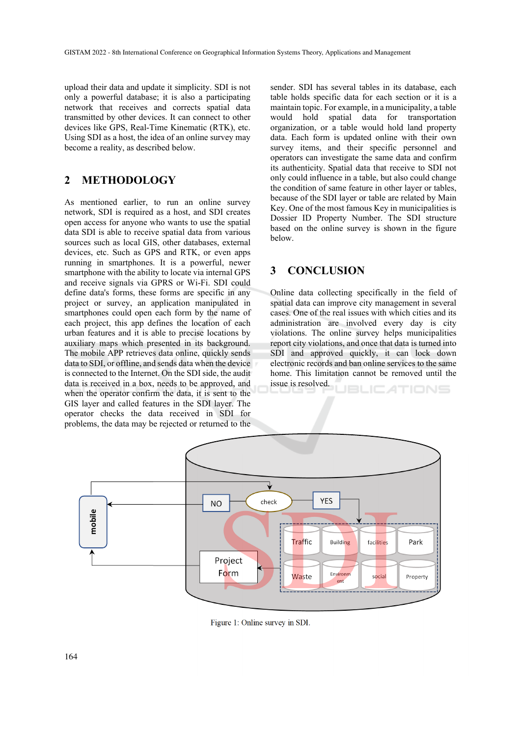upload their data and update it simplicity. SDI is not only a powerful database; it is also a participating network that receives and corrects spatial data transmitted by other devices. It can connect to other devices like GPS, Real-Time Kinematic (RTK), etc. Using SDI as a host, the idea of an online survey may become a reality, as described below.

# **2 METHODOLOGY**

As mentioned earlier, to run an online survey network, SDI is required as a host, and SDI creates open access for anyone who wants to use the spatial data SDI is able to receive spatial data from various sources such as local GIS, other databases, external devices, etc. Such as GPS and RTK, or even apps running in smartphones. It is a powerful, newer smartphone with the ability to locate via internal GPS and receive signals via GPRS or Wi-Fi. SDI could define data's forms, these forms are specific in any project or survey, an application manipulated in smartphones could open each form by the name of each project, this app defines the location of each urban features and it is able to precise locations by auxiliary maps which presented in its background. The mobile APP retrieves data online, quickly sends data to SDI, or offline, and sends data when the device is connected to the Internet. On the SDI side, the audit data is received in a box, needs to be approved, and when the operator confirm the data, it is sent to the GIS layer and called features in the SDI layer. The operator checks the data received in SDI for problems, the data may be rejected or returned to the

sender. SDI has several tables in its database, each table holds specific data for each section or it is a maintain topic. For example, in a municipality, a table would hold spatial data for transportation organization, or a table would hold land property data. Each form is updated online with their own survey items, and their specific personnel and operators can investigate the same data and confirm its authenticity. Spatial data that receive to SDI not only could influence in a table, but also could change the condition of same feature in other layer or tables, because of the SDI layer or table are related by Main Key. One of the most famous Key in municipalities is Dossier ID Property Number. The SDI structure based on the online survey is shown in the figure below.

### **3 CONCLUSION**

Online data collecting specifically in the field of spatial data can improve city management in several cases. One of the real issues with which cities and its administration are involved every day is city violations. The online survey helps municipalities report city violations, and once that data is turned into SDI and approved quickly, it can lock down electronic records and ban online services to the same home. This limitation cannot be removed until the issue is resolved. ATIONS



Figure 1: Online survey in SDI.